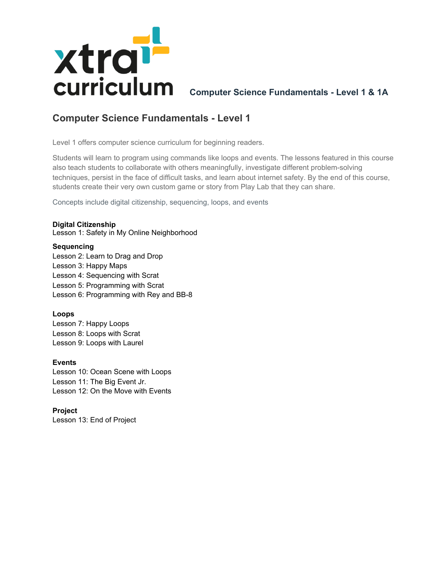

**Computer Science Fundamentals - Level 1 & 1A**

# **Computer Science Fundamentals - Level 1**

Level 1 offers computer science curriculum for beginning readers.

Students will learn to program using commands like loops and events. The lessons featured in this course also teach students to collaborate with others meaningfully, investigate different problem-solving techniques, persist in the face of difficult tasks, and learn about internet safety. By the end of this course, students create their very own custom game or story from Play Lab that they can share.

Concepts include digital citizenship, sequencing, loops, and events

### **Digital Citizenship**

Lesson 1: Safety in My Online Neighborhood

### **Sequencing**

Lesson 2: Learn to Drag and Drop Lesson 3: Happy Maps Lesson 4: Sequencing with Scrat Lesson 5: Programming with Scrat Lesson 6: Programming with Rey and BB-8

### **Loops**

Lesson 7: Happy Loops Lesson 8: Loops with Scrat Lesson 9: Loops with Laurel

### **Events**

Lesson 10: Ocean Scene with Loops Lesson 11: The Big Event Jr. Lesson 12: On the Move with Events

**Project**

Lesson 13: End of Project